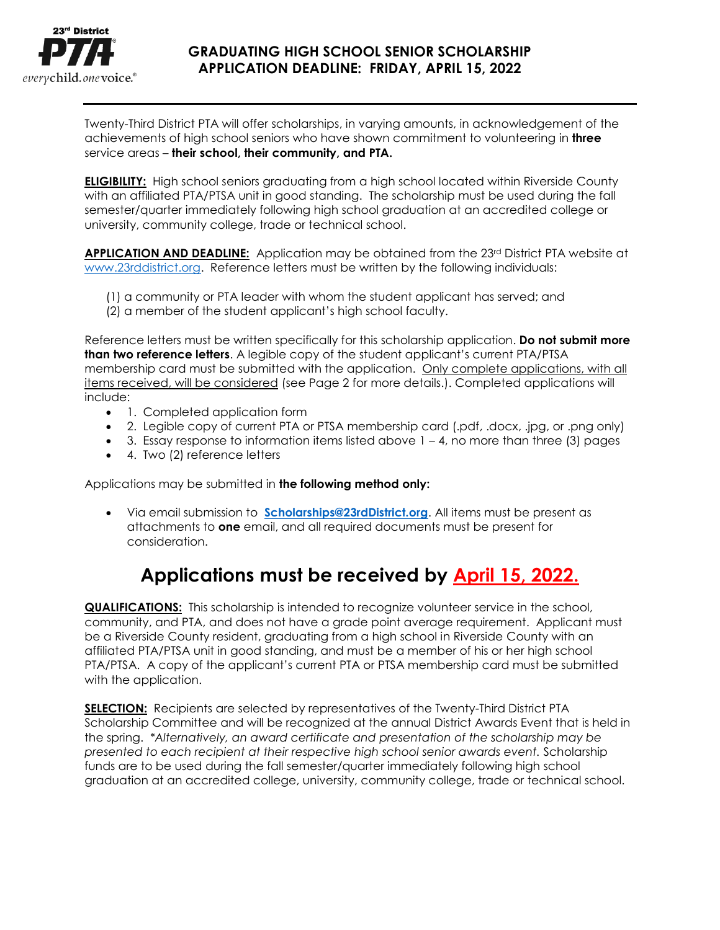

## **GRADUATING HIGH SCHOOL SENIOR SCHOLARSHIP APPLICATION DEADLINE: FRIDAY, APRIL 15, 2022**

Twenty-Third District PTA will offer scholarships, in varying amounts, in acknowledgement of the achievements of high school seniors who have shown commitment to volunteering in **three** service areas – **their school, their community, and PTA.**

**ELIGIBILITY:** High school seniors graduating from a high school located within Riverside County with an affiliated PTA/PTSA unit in good standing. The scholarship must be used during the fall semester/quarter immediately following high school graduation at an accredited college or university, community college, trade or technical school.

**APPLICATION AND DEADLINE:** Application may be obtained from the 23<sup>rd</sup> District PTA website at [www.23rddistrict.org.](http://www.23rddistrict.org/) Reference letters must be written by the following individuals:

- (1) a community or PTA leader with whom the student applicant has served; and
- (2) a member of the student applicant's high school faculty.

Reference letters must be written specifically for this scholarship application. **Do not submit more than two reference letters**. A legible copy of the student applicant's current PTA/PTSA membership card must be submitted with the application. Only complete applications, with all items received, will be considered (see Page 2 for more details.). Completed applications will include:

- 1. Completed application form
- 2. Legible copy of current PTA or PTSA membership card (.pdf, .docx, .jpg, or .png only)
- $\bullet$  3. Essay response to information items listed above  $1 4$ , no more than three (3) pages
- 4. Two (2) reference letters

Applications may be submitted in **the following method only:**

• Via email submission to **[Scholarships@23rdDistrict.org](mailto:Scholarships@23rdDistrict.org)**. All items must be present as attachments to **one** email, and all required documents must be present for consideration.

# **Applications must be received by April 15, 2022.**

**QUALIFICATIONS:** This scholarship is intended to recognize volunteer service in the school, community, and PTA, and does not have a grade point average requirement. Applicant must be a Riverside County resident, graduating from a high school in Riverside County with an affiliated PTA/PTSA unit in good standing, and must be a member of his or her high school PTA/PTSA. A copy of the applicant's current PTA or PTSA membership card must be submitted with the application.

**SELECTION:** Recipients are selected by representatives of the Twenty-Third District PTA Scholarship Committee and will be recognized at the annual District Awards Event that is held in the spring. *\*Alternatively, an award certificate and presentation of the scholarship may be presented to each recipient at their respective high school senior awards event.* Scholarship funds are to be used during the fall semester/quarter immediately following high school graduation at an accredited college, university, community college, trade or technical school.